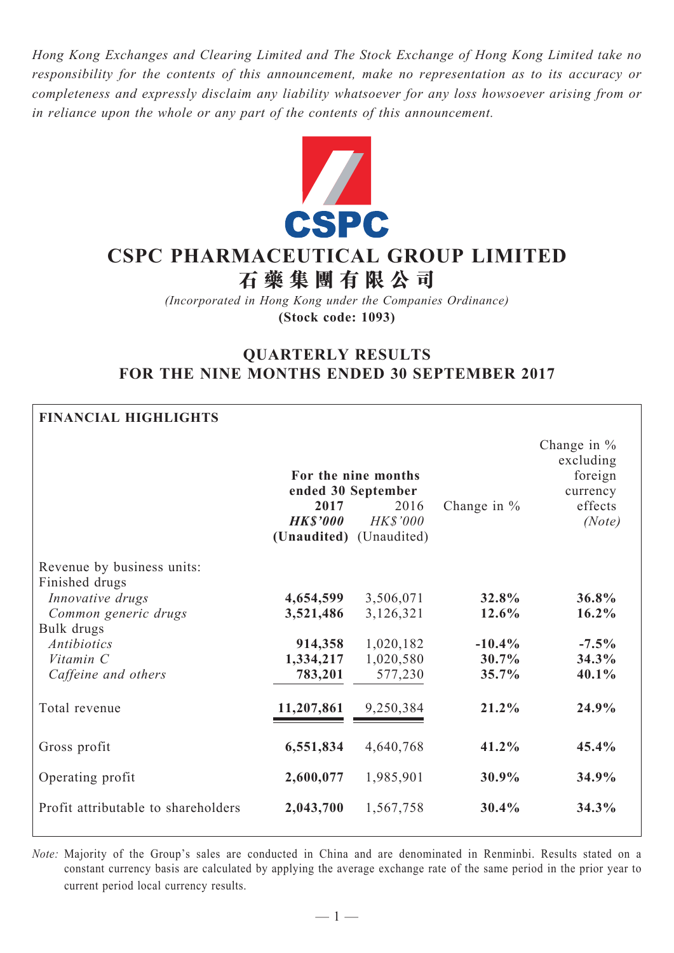*Hong Kong Exchanges and Clearing Limited and The Stock Exchange of Hong Kong Limited take no responsibility for the contents of this announcement, make no representation as to its accuracy or completeness and expressly disclaim any liability whatsoever for any loss howsoever arising from or in reliance upon the whole or any part of the contents of this announcement.*



# **CSPC Pharmaceutical Group Limited 石 藥 集 團 有 限 公 司**

*(Incorporated in Hong Kong under the Companies Ordinance)* **(Stock code: 1093)**

# **QUARTERLY RESULTS FOR THE NINE MONTHS ENDED 30 SEPTEMBER 2017**

| <b>FINANCIAL HIGHLIGHTS</b>                  |                                                   |                                                                      |                |                                                                        |  |
|----------------------------------------------|---------------------------------------------------|----------------------------------------------------------------------|----------------|------------------------------------------------------------------------|--|
|                                              | 2017<br><b>HKS'000</b><br>(Unaudited) (Unaudited) | For the nine months<br>ended 30 September<br>2016<br><b>HK\$'000</b> | Change in $%$  | Change in $%$<br>excluding<br>foreign<br>currency<br>effects<br>(Note) |  |
| Revenue by business units:<br>Finished drugs |                                                   |                                                                      |                |                                                                        |  |
| Innovative drugs                             | 4,654,599                                         | 3,506,071                                                            | 32.8%          | 36.8%                                                                  |  |
| Common generic drugs                         | 3,521,486                                         | 3,126,321                                                            | 12.6%          | 16.2%                                                                  |  |
| Bulk drugs                                   |                                                   |                                                                      |                |                                                                        |  |
| <b>Antibiotics</b>                           | 914,358                                           | 1,020,182                                                            | $-10.4%$       | $-7.5\%$                                                               |  |
| Vitamin C                                    | 1,334,217                                         | 1,020,580                                                            | 30.7%<br>35.7% | 34.3%<br>40.1%                                                         |  |
| Caffeine and others                          | 783,201                                           | 577,230                                                              |                |                                                                        |  |
| Total revenue                                | 11,207,861                                        | 9,250,384                                                            | $21.2\%$       | 24.9%                                                                  |  |
| Gross profit                                 | 6,551,834                                         | 4,640,768                                                            | 41.2%          | 45.4%                                                                  |  |
| Operating profit                             | 2,600,077                                         | 1,985,901                                                            | 30.9%          | 34.9%                                                                  |  |
| Profit attributable to shareholders          | 2,043,700                                         | 1,567,758                                                            | 30.4%          | 34.3%                                                                  |  |

*Note:* Majority of the Group's sales are conducted in China and are denominated in Renminbi. Results stated on a constant currency basis are calculated by applying the average exchange rate of the same period in the prior year to current period local currency results.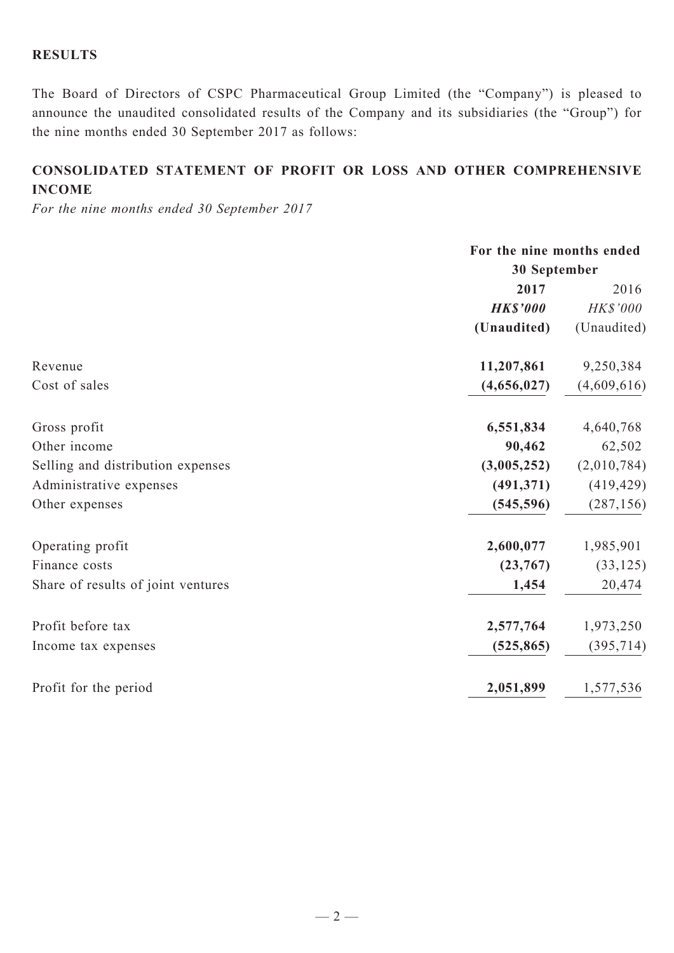# **RESULTS**

The Board of Directors of CSPC Pharmaceutical Group Limited (the "Company") is pleased to announce the unaudited consolidated results of the Company and its subsidiaries (the "Group") for the nine months ended 30 September 2017 as follows:

# **CONSOLIDATED Statement of profit or loss and other comprehensive income**

*For the nine months ended 30 September 2017*

|                                    | For the nine months ended |             |  |
|------------------------------------|---------------------------|-------------|--|
|                                    | 30 September              |             |  |
|                                    | 2017                      | 2016        |  |
|                                    | <b>HK\$'000</b>           | HK\$'000    |  |
|                                    | (Unaudited)               | (Unaudited) |  |
| Revenue                            | 11,207,861                | 9,250,384   |  |
| Cost of sales                      | (4,656,027)               | (4,609,616) |  |
| Gross profit                       | 6,551,834                 | 4,640,768   |  |
| Other income                       | 90,462                    | 62,502      |  |
| Selling and distribution expenses  | (3,005,252)               | (2,010,784) |  |
| Administrative expenses            | (491, 371)                | (419, 429)  |  |
| Other expenses                     | (545, 596)                | (287, 156)  |  |
| Operating profit                   | 2,600,077                 | 1,985,901   |  |
| Finance costs                      | (23,767)                  | (33, 125)   |  |
| Share of results of joint ventures | 1,454                     | 20,474      |  |
| Profit before tax                  | 2,577,764                 | 1,973,250   |  |
| Income tax expenses                | (525, 865)                | (395, 714)  |  |
| Profit for the period              | 2,051,899                 | 1,577,536   |  |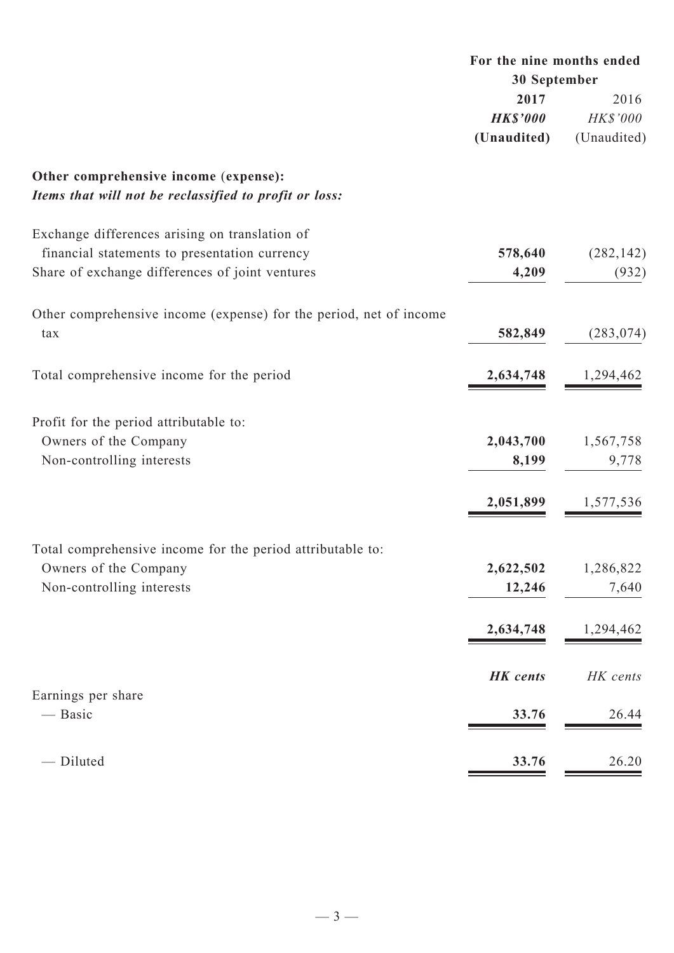|                                                                                                 | For the nine months ended<br>30 September |             |
|-------------------------------------------------------------------------------------------------|-------------------------------------------|-------------|
|                                                                                                 | 2017                                      | 2016        |
|                                                                                                 | <b>HK\$'000</b>                           | HK\$'000    |
|                                                                                                 | (Unaudited)                               | (Unaudited) |
| Other comprehensive income (expense):<br>Items that will not be reclassified to profit or loss: |                                           |             |
| Exchange differences arising on translation of                                                  |                                           |             |
| financial statements to presentation currency                                                   | 578,640                                   | (282, 142)  |
| Share of exchange differences of joint ventures                                                 | 4,209                                     | (932)       |
| Other comprehensive income (expense) for the period, net of income                              |                                           |             |
| tax                                                                                             | 582,849                                   | (283, 074)  |
| Total comprehensive income for the period                                                       | 2,634,748                                 | 1,294,462   |
| Profit for the period attributable to:                                                          |                                           |             |
| Owners of the Company                                                                           | 2,043,700                                 | 1,567,758   |
| Non-controlling interests                                                                       | 8,199                                     | 9,778       |
|                                                                                                 | 2,051,899                                 | 1,577,536   |
| Total comprehensive income for the period attributable to:                                      |                                           |             |
| Owners of the Company                                                                           | 2,622,502                                 | 1,286,822   |
| Non-controlling interests                                                                       | 12,246                                    | 7,640       |
|                                                                                                 | 2,634,748                                 | 1,294,462   |
|                                                                                                 |                                           |             |
|                                                                                                 | <b>HK</b> cents                           | HK cents    |
| Earnings per share<br>— Basic                                                                   | 33.76                                     | 26.44       |
|                                                                                                 |                                           |             |
| - Diluted                                                                                       | 33.76                                     | 26.20       |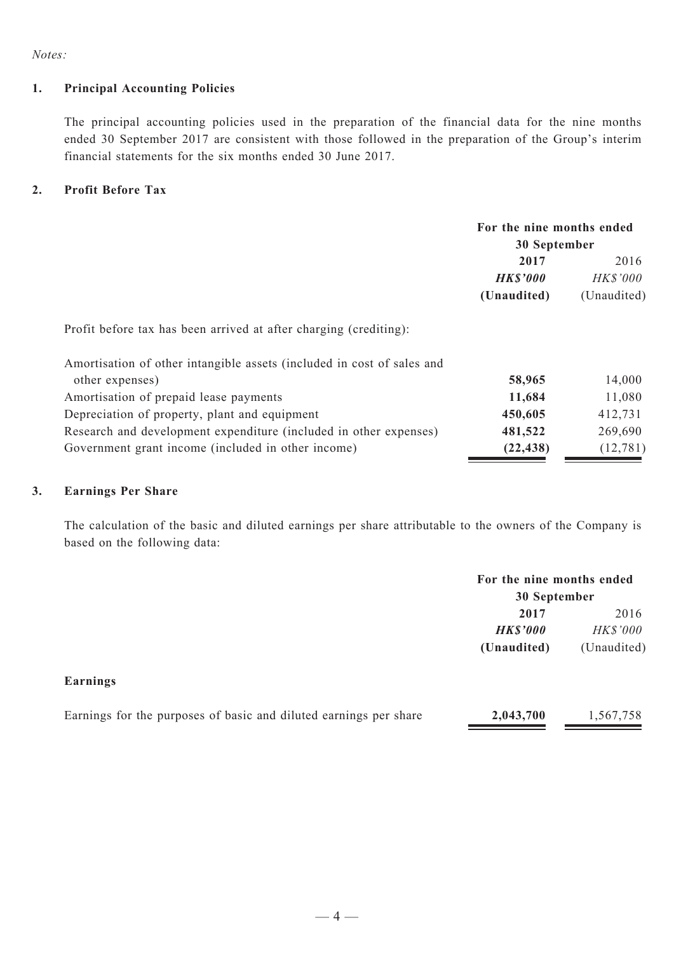*Notes:*

#### **1. Principal Accounting Policies**

The principal accounting policies used in the preparation of the financial data for the nine months ended 30 September 2017 are consistent with those followed in the preparation of the Group's interim financial statements for the six months ended 30 June 2017.

#### **2. Profit Before Tax**

|                                                                        | For the nine months ended |                 |  |  |
|------------------------------------------------------------------------|---------------------------|-----------------|--|--|
|                                                                        |                           | 30 September    |  |  |
|                                                                        | 2017                      | 2016            |  |  |
|                                                                        | <b>HK\$'000</b>           | <b>HK\$'000</b> |  |  |
|                                                                        | (Unaudited)               | (Unaudited)     |  |  |
| Profit before tax has been arrived at after charging (crediting):      |                           |                 |  |  |
| Amortisation of other intangible assets (included in cost of sales and |                           |                 |  |  |
| other expenses)                                                        | 58,965                    | 14,000          |  |  |
| Amortisation of prepaid lease payments                                 | 11,684                    | 11,080          |  |  |
| Depreciation of property, plant and equipment                          | 450,605                   | 412,731         |  |  |
| Research and development expenditure (included in other expenses)      | 481,522                   | 269,690         |  |  |
| Government grant income (included in other income)                     | (22, 438)                 | (12, 781)       |  |  |

#### **3. Earnings Per Share**

The calculation of the basic and diluted earnings per share attributable to the owners of the Company is based on the following data:

|                                                                   | For the nine months ended<br>30 September |                  |
|-------------------------------------------------------------------|-------------------------------------------|------------------|
|                                                                   | 2017<br><b>HK\$'000</b>                   | 2016<br>HK\$'000 |
|                                                                   | (Unaudited)                               | (Unaudited)      |
| Earnings                                                          |                                           |                  |
| Earnings for the purposes of basic and diluted earnings per share | 2,043,700                                 | 1,567,758        |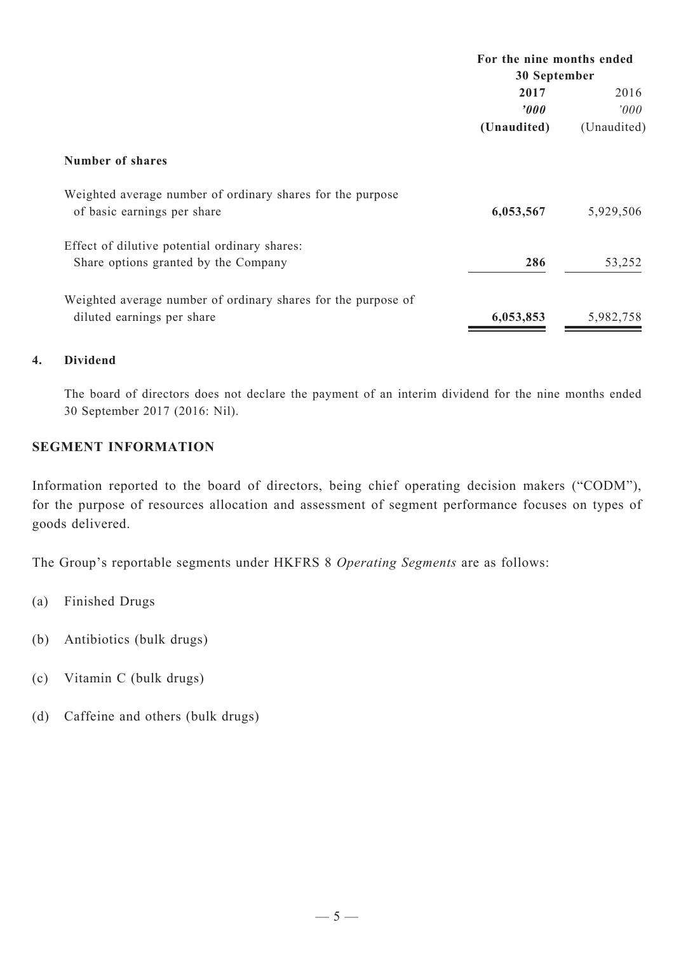|                                                                                           | For the nine months ended |              |  |  |
|-------------------------------------------------------------------------------------------|---------------------------|--------------|--|--|
|                                                                                           |                           | 30 September |  |  |
|                                                                                           | 2017                      | 2016         |  |  |
|                                                                                           | $\boldsymbol{v}$          | 000'         |  |  |
|                                                                                           | (Unaudited)               | (Unaudited)  |  |  |
| <b>Number of shares</b>                                                                   |                           |              |  |  |
| Weighted average number of ordinary shares for the purpose<br>of basic earnings per share | 6,053,567                 | 5,929,506    |  |  |
| Effect of dilutive potential ordinary shares:                                             |                           |              |  |  |
| Share options granted by the Company                                                      | 286                       | 53,252       |  |  |
| Weighted average number of ordinary shares for the purpose of                             |                           |              |  |  |
| diluted earnings per share                                                                | 6,053,853                 | 5,982,758    |  |  |

# **4. Dividend**

The board of directors does not declare the payment of an interim dividend for the nine months ended 30 September 2017 (2016: Nil).

# **SEGMENT INFORMATION**

Information reported to the board of directors, being chief operating decision makers ("CODM"), for the purpose of resources allocation and assessment of segment performance focuses on types of goods delivered.

The Group's reportable segments under HKFRS 8 *Operating Segments* are as follows:

- (a) Finished Drugs
- (b) Antibiotics (bulk drugs)
- (c) Vitamin C (bulk drugs)
- (d) Caffeine and others (bulk drugs)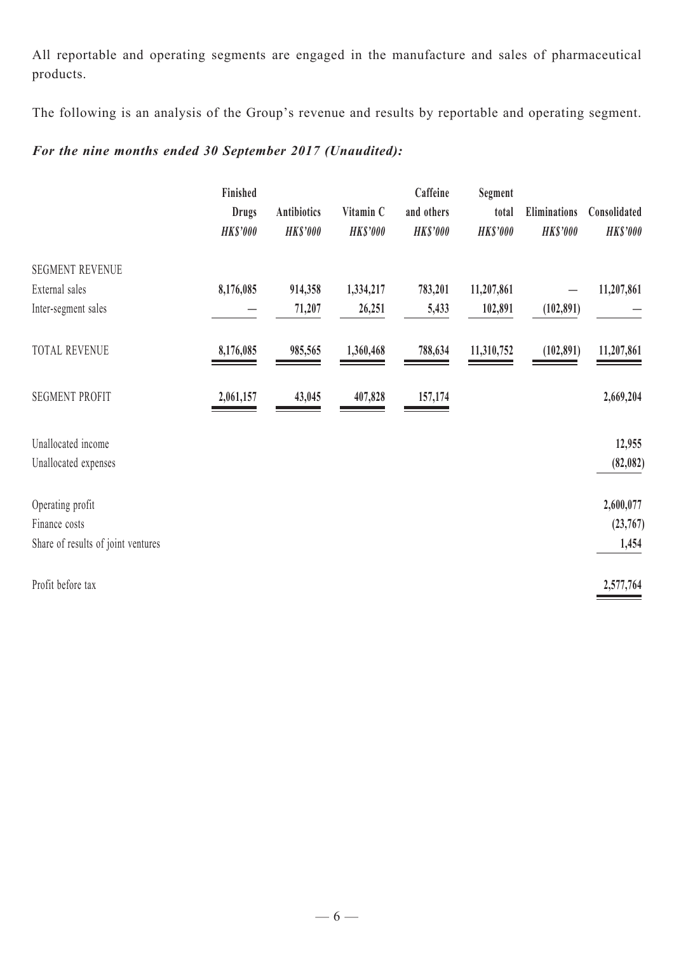All reportable and operating segments are engaged in the manufacture and sales of pharmaceutical products.

The following is an analysis of the Group's revenue and results by reportable and operating segment.

# *For the nine months ended 30 September 2017 (Unaudited):*

|                                    | Finished<br><b>Drugs</b><br><b>HK\$'000</b> | <b>Antibiotics</b><br><b>HK\$'000</b> | Vitamin C<br><b>HK\$'000</b> | Caffeine<br>and others<br><b>HK\$'000</b> | Segment<br>total<br><b>HK\$'000</b> | <b>Eliminations</b><br><b>HK\$'000</b> | Consolidated<br><b>HK\$'000</b> |
|------------------------------------|---------------------------------------------|---------------------------------------|------------------------------|-------------------------------------------|-------------------------------------|----------------------------------------|---------------------------------|
| <b>SEGMENT REVENUE</b>             |                                             |                                       |                              |                                           |                                     |                                        |                                 |
| External sales                     | 8,176,085                                   | 914,358                               | 1,334,217                    | 783,201                                   | 11,207,861                          |                                        | 11,207,861                      |
| Inter-segment sales                |                                             | 71,207                                | 26,251                       | 5,433                                     | 102,891                             | (102, 891)                             |                                 |
| <b>TOTAL REVENUE</b>               | 8,176,085                                   | 985,565                               | 1,360,468                    | 788,634                                   | 11,310,752                          | (102, 891)                             | 11,207,861                      |
| <b>SEGMENT PROFIT</b>              | 2,061,157                                   | 43,045                                | 407,828                      | 157,174                                   |                                     |                                        | 2,669,204                       |
| Unallocated income                 |                                             |                                       |                              |                                           |                                     |                                        | 12,955                          |
| Unallocated expenses               |                                             |                                       |                              |                                           |                                     |                                        | (82, 082)                       |
| Operating profit                   |                                             |                                       |                              |                                           |                                     |                                        | 2,600,077                       |
| Finance costs                      |                                             |                                       |                              |                                           |                                     |                                        | (23,767)                        |
| Share of results of joint ventures |                                             |                                       |                              |                                           |                                     |                                        | 1,454                           |
| Profit before tax                  |                                             |                                       |                              |                                           |                                     |                                        | 2,577,764                       |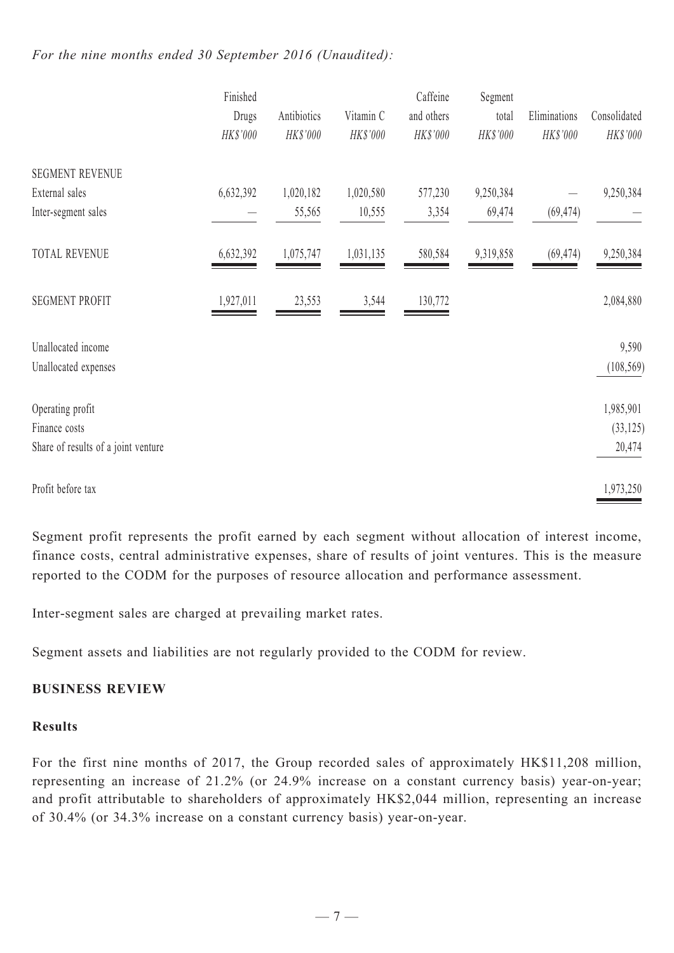# *For the nine months ended 30 September 2016 (Unaudited):*

|                                     | Finished  |           |             | Caffeine  | Segment    |           |              |              |
|-------------------------------------|-----------|-----------|-------------|-----------|------------|-----------|--------------|--------------|
|                                     | Drugs     |           | Antibiotics | Vitamin C | and others | total     | Eliminations | Consolidated |
|                                     | HK\$'000  | HK\$'000  | HK\$'000    | HK\$'000  | HK\$'000   | HK\$'000  | HK\$'000     |              |
| <b>SEGMENT REVENUE</b>              |           |           |             |           |            |           |              |              |
| External sales                      | 6,632,392 | 1,020,182 | 1,020,580   | 577,230   | 9,250,384  |           | 9,250,384    |              |
| Inter-segment sales                 |           | 55,565    | 10,555      | 3,354     | 69,474     | (69, 474) |              |              |
| <b>TOTAL REVENUE</b>                | 6,632,392 | 1,075,747 | 1,031,135   | 580,584   | 9,319,858  | (69, 474) | 9,250,384    |              |
| <b>SEGMENT PROFIT</b>               | 1,927,011 | 23,553    | 3,544       | 130,772   |            |           | 2,084,880    |              |
| Unallocated income                  |           |           |             |           |            |           | 9,590        |              |
| Unallocated expenses                |           |           |             |           |            |           | (108, 569)   |              |
| Operating profit                    |           |           |             |           |            |           | 1,985,901    |              |
| Finance costs                       |           |           |             |           |            |           | (33, 125)    |              |
| Share of results of a joint venture |           |           |             |           |            |           | 20,474       |              |
| Profit before tax                   |           |           |             |           |            |           | 1,973,250    |              |

Segment profit represents the profit earned by each segment without allocation of interest income, finance costs, central administrative expenses, share of results of joint ventures. This is the measure reported to the CODM for the purposes of resource allocation and performance assessment.

Inter-segment sales are charged at prevailing market rates.

Segment assets and liabilities are not regularly provided to the CODM for review.

# **BUSINESS REVIEW**

# **Results**

For the first nine months of 2017, the Group recorded sales of approximately HK\$11,208 million, representing an increase of 21.2% (or 24.9% increase on a constant currency basis) year-on-year; and profit attributable to shareholders of approximately HK\$2,044 million, representing an increase of 30.4% (or 34.3% increase on a constant currency basis) year-on-year.